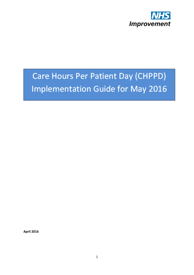

# Care Hours Per Patient Day (CHPPD) **Implementation Guide for May 2016**

**April 2016**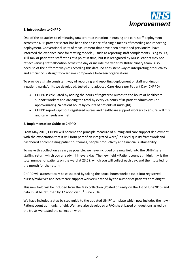

#### **1. Introduction to CHPPD**

One of the obstacles to eliminating unwarranted variation in nursing and care staff deployment across the NHS provider sector has been the absence of a single means of recording and reporting deployment. Conventional units of measurement that have been developed previously , have informed the evidence base for staffing models ,- such as reporting staff complements using WTEs, skill-mix or patient to staff ratios at a point in time, but it is recognised by Nurse leaders may not reflect varying staff allocation across the day or include the wider multidisciplinary team. Also, because of the different ways of recording this data, no consistent way of interpreting productivity and efficiency is straightforward nor comparable between organisations.

To provide a single consistent way of recording and reporting deployment of staff working on inpatient wards/units we developed, tested and adopted Care Hours per Patient Day (CHPPD).

- CHPPD is calculated by adding the hours of registered nurses to the hours of healthcare support workers and dividing the total by every 24 hours of in-patient admissions (or approximating 24 patient hours by counts of patients at midnight**)**
- CHPPD reports split out registered nurses and healthcare support workers to ensure skill mix and care needs are met.

#### **2. Implementation Guide to CHPPD**

From May 2016, CHPPD will become the principle measure of nursing and care support deployment, with the expectation that it will form part of an integrated ward/unit level quality framework and dashboard encompassing patient outcomes, people productivity and financial sustainability.

To make this collection as easy as possible, we have included one new field into the UNIFY safe staffing return which you already fill in every day. The new field – Patient count at midnight – is the total number of patients on the ward at 23.59, which you will collect each day, and then totalled for the month for the return.

CHPPD will automatically be calculated by taking the actual hours worked (split into registered nurses/midwives and healthcare support workers) divided by the number of patients at midnight.

This new field will be included from the May collection (Posted on unify on the 1st of June2016) and data must be returned by 12 noon on  $15<sup>th</sup>$  June 2016.

We have included a step by step guide to the updated UNIFY template which now includes the new - Patient count at midnight field. We have also developed a FAQ sheet based on questions asked by the trusts we tested the collection with.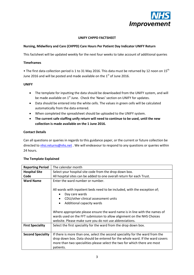

#### **UNIFY CHPPD FACTSHEET**

#### **Nursing, Midwifery and Care (CHPPD) Care Hours Per Patient Day Indicator UNIFY Return**

This factsheet will be updated weekly for the next four weeks to take account of additional queries

#### **Timeframes**

• The first data collection period is 1 to 31 May 2016. This data must be returned by 12 noon on 15<sup>th</sup> June 2016 and will be posted and made available on the  $1<sup>st</sup>$  of June 2016.

#### **UNIFY**

- The template for inputting the data should be downloaded from the UNIFY system, and will be made available on 1<sup>st</sup> June. Check the 'News' section on UNIFY for updates.
- Data should be entered into the white cells. The values in green cells will be calculated automatically from the data entered.
- When completed the spreadsheet should be uploaded to the UNIFY system.
- **The current safe staffing unify return will need to continue to be used, until the new collection is made available on the 1 June 2016.**

#### **Contact Details**

Can all questions or queries in regards to this guidance paper, or the current or future collection be directed t[o nhsi.returns@nhs.net](mailto:nhsi.returns@nhs.net). We will endeavour to respond to any questions or queries within 24 hours.

| <b>Reporting Period</b>  | The calendar month                                                                                                                                                                                                                                                                                                                                                                 |
|--------------------------|------------------------------------------------------------------------------------------------------------------------------------------------------------------------------------------------------------------------------------------------------------------------------------------------------------------------------------------------------------------------------------|
| <b>Hospital Site</b>     | Select your hospital site code from the drop down box.                                                                                                                                                                                                                                                                                                                             |
| Code                     | All hospital sites can be added to one overall return for each Trust.                                                                                                                                                                                                                                                                                                              |
| <b>Ward Name</b>         | Enter the ward number or number.                                                                                                                                                                                                                                                                                                                                                   |
|                          | All wards with inpatient beds need to be included, with the exception of;<br>Day care wards<br>CDU/other clinical assessment units<br>Additional capacity wards<br>Where appropriate please ensure the ward name is in line with the names of<br>wards used on the FFT submission to allow alignment on the NHS Choices<br>website. Please make sure you do not use abbreviations. |
| <b>First Speciality</b>  | Select the first speciality for the ward from the drop down box.                                                                                                                                                                                                                                                                                                                   |
|                          |                                                                                                                                                                                                                                                                                                                                                                                    |
| <b>Second Speciality</b> | If there is more than one, select the second speciality for the ward from the                                                                                                                                                                                                                                                                                                      |
|                          | drop down box. Data should be entered for the whole ward. If the ward covers                                                                                                                                                                                                                                                                                                       |
|                          | more than two specialities please select the two for which there are most                                                                                                                                                                                                                                                                                                          |
|                          | patients.                                                                                                                                                                                                                                                                                                                                                                          |

#### **The Template Explained**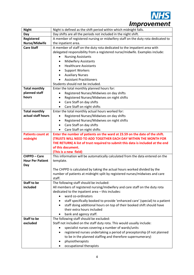

| <b>Night</b>             | Night is defined as the shift period within which midnight falls.                     |  |  |
|--------------------------|---------------------------------------------------------------------------------------|--|--|
| Day                      | Day shifts are all the periods not included in the night shift.                       |  |  |
| <b>Registered</b>        | A member of registered nursing or midwifery staff on the duty rota dedicated to       |  |  |
| Nurse/Midwife            | the inpatient area.                                                                   |  |  |
| <b>Care Staff</b>        | A member of staff on the duty rota dedicated to the impatient area with               |  |  |
|                          | delegated responsibility from a registered nurse/midwife. Examples include:           |  |  |
|                          | <b>Nursing Assistants</b>                                                             |  |  |
|                          | <b>Midwifery Assistants</b>                                                           |  |  |
|                          | <b>Healthcare Assistants</b><br>$\bullet$                                             |  |  |
|                          | <b>Support Workers</b>                                                                |  |  |
|                          | <b>Auxiliary Nurses</b>                                                               |  |  |
|                          | <b>Assistant Practitioners</b>                                                        |  |  |
|                          | Students should not be included.                                                      |  |  |
| <b>Total monthly</b>     | Enter the total monthly planned hours for:                                            |  |  |
| planned staff            | Registered Nurses/Midwives on day shifts                                              |  |  |
| hours                    | Registered Nurses/Midwives on night shifts                                            |  |  |
|                          | Care Staff on day shifts<br>$\bullet$                                                 |  |  |
|                          | Care Staff on night shifts                                                            |  |  |
| <b>Total monthly</b>     | Enter the total monthly actual hours worked for:                                      |  |  |
| actual staff hours       | Registered Nurses/Midwives on day shifts                                              |  |  |
|                          | Registered Nurses/Midwives on night shifts<br>٠                                       |  |  |
|                          | Care Staff on day shifts<br>$\bullet$                                                 |  |  |
|                          | Care Staff on night shifts<br>$\bullet$                                               |  |  |
| <b>Patients count at</b> | Enter the number of patients on the ward at 23.59 on the date of the shift.           |  |  |
| midnight                 | <b>(TRUSTS WILL NEED TO ADD TOGETHER EACH DAY WITHIN THE MONTH FOR</b>                |  |  |
|                          | THE RETURN) A list of trust required to submit this data is included at the end       |  |  |
|                          | of this document.                                                                     |  |  |
|                          | (This is a new field)                                                                 |  |  |
| <b>CHPPD - Care</b>      | This information will be automatically calculated from the data entered on the        |  |  |
| <b>Hour Per Patient</b>  | template.                                                                             |  |  |
| Day                      |                                                                                       |  |  |
|                          | The CHPPD is calculated by taking the actual hours worked divided by the              |  |  |
|                          | number of patients at midnight split by registered nurses/midwives and care<br>staff. |  |  |
| <b>Staff to be</b>       | The following staff should be included:                                               |  |  |
| included                 | All members of registered nursing/midwifery and care staff on the duty rota           |  |  |
|                          | dedicated to the inpatient area - this includes:                                      |  |  |
|                          | ward co-ordinators                                                                    |  |  |
|                          | staff specifically booked to provide 'enhanced care' (special) to a patient           |  |  |
|                          | staff doing additional hours on top of their booked shift should have                 |  |  |
|                          | their extra hours included                                                            |  |  |
|                          | bank and agency staff.<br>٠                                                           |  |  |
| <b>Staff to be</b>       | The following staff should be excluded:                                               |  |  |
| excluded                 | Staff not included on the staff duty rota. This would usually include:                |  |  |
|                          | specialist nurses covering a number of wards/units                                    |  |  |
|                          | registered nurses undertaking a period of preceptorship (if not planned<br>٠          |  |  |
|                          | to be in the planned staffing and therefore supernumerary)                            |  |  |
|                          | physiotherapists                                                                      |  |  |
|                          | occupational therapists                                                               |  |  |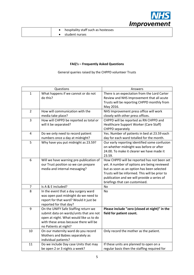

|  | hospitality staff such as hostesses |
|--|-------------------------------------|
|  | student nurses                      |

## **FAQ's – Frequently Asked Questions**

General queries raised by the CHPPD volunteer Trusts

| Questions      |                                                                                                                                                                                               | Answers                                                                                                                                                                                                                                                                     |
|----------------|-----------------------------------------------------------------------------------------------------------------------------------------------------------------------------------------------|-----------------------------------------------------------------------------------------------------------------------------------------------------------------------------------------------------------------------------------------------------------------------------|
| 1              | What happens if we cannot or do not<br>do this?                                                                                                                                               | There is an expectation from the Lord Carter<br>Review and NHS Improvement that all acute<br>Trusts will be reporting CHPPD monthly from<br>May 2016.                                                                                                                       |
| $\overline{2}$ | How will communication with the<br>media take place?                                                                                                                                          | NHS Improvement press office will work<br>closely with other press offices.                                                                                                                                                                                                 |
| 3              | How will CHPPD be reported as total or<br>will it be separated?                                                                                                                               | CHPPD will be reported as RN CHPPD and<br>Healthcare Support Worker (Care Staff)<br>CHPPD separately                                                                                                                                                                        |
| 4              | Do we only need to record patient<br>numbers once a day at midnight?                                                                                                                          | Yes. Number of patients in bed at 23.59 each<br>day for each ward totalled for the month.                                                                                                                                                                                   |
| 5              | Why have you put midnight as 23.59?                                                                                                                                                           | Our early reporting identified some confusion<br>on whether midnight was before or after<br>24.00. To make it clearer we have made it<br>23.59.                                                                                                                             |
| 6              | Will we have warning pre-publication of<br>our Trust position so we can prepare<br>media and internal messaging?                                                                              | How CHPPD will be reported has not been set<br>yet. A number of options are being reviewed<br>but as soon as an option has been selected<br>Trusts will be informed. This will be prior to<br>publication and we will provide a series of<br>briefings that can customised. |
| 7              | Is A & E included?                                                                                                                                                                            | No                                                                                                                                                                                                                                                                          |
| 8              | In the event that a day surgery ward<br>was open past midnight do we need to<br>report for that ward? Would it just be<br>reported for that day?                                              | <b>No</b>                                                                                                                                                                                                                                                                   |
| 9              | On the UNIFY Safe Staffing return we<br>submit data on wards/units that are not<br>open at night. What would like us to do<br>with these areas because there will be<br>no Patients at night? | Please include "zero (closed at night)" in the<br>field for patient count.                                                                                                                                                                                                  |
| 10             | On our maternity ward do you record<br>Mothers and Babies separately as<br>individual patients?                                                                                               | Only record the mother as the patient.                                                                                                                                                                                                                                      |
| 11             | Do we include Day case Units that may<br>be open 2 or 3 nights a week?                                                                                                                        | If these units are planned to open on a<br>regular basis then the staffing required for                                                                                                                                                                                     |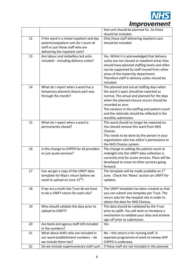

|    |                                                           | that unit should be planned for. So these<br>should be included.              |
|----|-----------------------------------------------------------|-------------------------------------------------------------------------------|
| 12 | If the ward is a mixed inpatient and day                  | Only those staff delivering inpatient care                                    |
|    | patient/outpatient unit do I count all                    | should be included.                                                           |
|    | staff or just those staff who are                         |                                                                               |
|    | delivering the inpatient care?                            |                                                                               |
| 13 | Are labour and midwifery led units                        | Yes. Whilst it is acknowledged that delivery                                  |
|    | included - including delivery suites?                     | suites are not classed as inpatient areas they                                |
|    |                                                           | should have planned staffing levels and often                                 |
|    |                                                           | can be supported by staff moved from other                                    |
|    |                                                           | areas of the maternity department.                                            |
|    |                                                           | Therefore staff in delivery suites should be                                  |
|    |                                                           | included.                                                                     |
| 14 | What do I report when a ward has a                        | The planned and actual staffing days when                                     |
|    | temporary planned closure part way                        | the ward is open should be reported as                                        |
|    | through the month?                                        | normal. The actual and planned for the days                                   |
|    |                                                           | when the planned closure occurs should be                                     |
|    |                                                           | recorded as zero.                                                             |
|    |                                                           | The variance in the staffing and patient count                                |
|    |                                                           | and the rationale should be reflected in the                                  |
|    |                                                           | monthly submission.                                                           |
| 15 | What do I report when a ward is                           | This ward should no longer be reported on.                                    |
|    | permanently closed?                                       | You should remove this ward from NHS<br>Choices.                              |
|    |                                                           | This needs to be done by the person in your                                   |
|    |                                                           | organisation who has editor's permissions to                                  |
|    |                                                           | the NHS Choices system.                                                       |
| 16 | Is this change to CHPPD for all providers                 | The change to adding the patient count at                                     |
|    | or just acute services?                                   | midnight into the UNIFY data collection is                                    |
|    |                                                           | currently only for acute services. Plans will be                              |
|    |                                                           | developed to move to other services going                                     |
|    |                                                           | forward.                                                                      |
| 17 | Can we get a copy of the UNIFY data                       | The template will be made available on 1st                                    |
|    | template for May's return before we                       | June. Check the 'News' section on UNIFY for                                   |
|    | need to upload on June 15th?                              | updates.                                                                      |
|    |                                                           |                                                                               |
| 18 | If we are a multi-site Trust do we have                   | The UNIFY template has been created so that                                   |
|    | to do a UNIFY return for each site?                       | you can submit one template per Trust. The                                    |
|    |                                                           | return asks for the hospital site in order to                                 |
| 19 |                                                           | obtain the data for NHS Choices.<br>The data should be validated by the Trust |
|    | Who should validate the data prior to<br>upload to UNIFY? | prior to uplift. You will wish to introduce a                                 |
|    |                                                           | mechanism to validate your data and achieve                                   |
|    |                                                           | sign off prior to submission.                                                 |
| 20 | Are bank and agency staff still included                  | Yes                                                                           |
|    | in the numbers?                                           |                                                                               |
| 21 | What about AHPs who are included in                       | No - this return is for nursing staff. A                                      |
|    | our ward establishment numbers - do                       | separate programme of work to review AHP                                      |
|    | we include them too?                                      | CHPPD is underway.                                                            |
| 22 | Do we include supernumerary staff such                    | If these staff are not included in the planned                                |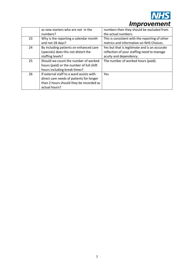

|    | as new starters who are not in the       | numbers then they should be excluded from      |
|----|------------------------------------------|------------------------------------------------|
|    | numbers?                                 | the actual numbers.                            |
| 23 | Why is the reporting a calendar month    | This is consistent with the reporting of other |
|    | and not 28 days?                         | metrics and information on NHS Choices.        |
| 24 | By including patients on enhanced care   | Yes but that is legitimate and is an accurate  |
|    | (specials) does this not distort the     | reflection of your staffing need to manage     |
|    | staffing levels?                         | acuity and dependency.                         |
| 25 | Should we count the number of worked     | The number of worked hours (paid).             |
|    | hours (paid) or the number of full shift |                                                |
|    | hours including break times?             |                                                |
| 26 | If external staff to a ward assists with | <b>Yes</b>                                     |
|    | direct care needs of patients for longer |                                                |
|    | than 2 hours should they be recorded as  |                                                |
|    | actual hours?                            |                                                |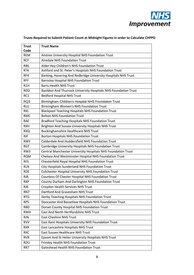

| <b>Trust</b>             | <b>Trust Name</b>                                                                                   |
|--------------------------|-----------------------------------------------------------------------------------------------------|
| Code<br><b>REM</b>       | Aintree University Hospital NHS Foundation Trust                                                    |
| <b>RCF</b>               | <b>Airedale NHS Foundation Trust</b>                                                                |
|                          |                                                                                                     |
| <b>RBS</b><br><b>RTK</b> | Alder Hey Children's NHS Foundation Trust<br>Ashford and St. Peter's Hospitals NHS Foundation Trust |
| RF4                      | Barking, Havering And Redbridge University Hospitals NHS Trust                                      |
| <b>RFF</b>               | <b>Barnsley Hospital NHS Foundation Trust</b>                                                       |
| R1H                      | <b>Barts Health NHS Trust</b>                                                                       |
|                          |                                                                                                     |
| <b>RDD</b>               | Basildon And Thurrock University Hospitals NHS Foundation Trust                                     |
| RC1                      | <b>Bedford Hospital NHS Trust</b>                                                                   |
| RQ3                      | Birmingham Children's Hospital NHS Foundation Trust                                                 |
| <b>RLU</b>               | Birmingham Women's NHS Foundation Trust                                                             |
| <b>RXL</b>               | <b>Blackpool Teaching Hospitals NHS Foundation Trust</b>                                            |
| <b>RMC</b>               | <b>Bolton NHS Foundation Trust</b>                                                                  |
| <b>RAE</b>               | <b>Bradford Teaching Hospitals NHS Foundation Trust</b>                                             |
| <b>RXH</b>               | Brighton And Sussex University Hospitals NHS Trust                                                  |
| <b>RXQ</b>               | <b>Buckinghamshire Healthcare NHS Trust</b>                                                         |
| <b>RJF</b>               | <b>Burton Hospitals NHS Foundation Trust</b>                                                        |
| <b>RWY</b>               | Calderdale And Huddersfield NHS Foundation Trust                                                    |
| <b>RGT</b>               | Cambridge University Hospitals NHS Foundation Trust                                                 |
| RW3                      | Central Manchester University Hospitals NHS Foundation Trust                                        |
| <b>RQM</b>               | Chelsea And Westminster Hospital NHS Foundation Trust                                               |
| <b>RFS</b>               | Chesterfield Royal Hospital NHS Foundation Trust                                                    |
| <b>RLN</b>               | City Hospitals Sunderland NHS Foundation Trust                                                      |
| <b>RDE</b>               | <b>Colchester Hospital University NHS Foundation Trust</b>                                          |
| <b>RJR</b>               | Countess Of Chester Hospital NHS Foundation Trust                                                   |
| <b>RXP</b>               | County Durham And Darlington NHS Foundation Trust                                                   |
| RJ6                      | Croydon Health Services NHS Trust                                                                   |
| RN7                      | Dartford And Gravesham NHS Trust                                                                    |
| <b>RTG</b>               | Derby Teaching Hospitals NHS Foundation Trust                                                       |
| RP5                      | Doncaster And Bassetlaw Hospitals NHS Foundation Trust                                              |
| <b>RBD</b>               | Dorset County Hospital NHS Foundation Trust                                                         |
| <b>RWH</b>               | East And North Hertfordshire NHS Trust                                                              |
| <b>RJN</b>               | <b>East Cheshire NHS Trust</b>                                                                      |
| <b>RVV</b>               | East Kent Hospitals University NHS Foundation Trust                                                 |
| <b>RXR</b>               | East Lancashire Hospitals NHS Trust                                                                 |
| <b>RXC</b>               | <b>East Sussex Healthcare NHS Trust</b>                                                             |
| <b>RVR</b>               | Epsom And St Helier University Hospitals NHS Trust                                                  |
| <b>RDU</b>               | Frimley Health NHS Foundation Trust                                                                 |
| RR7                      | <b>Gateshead Health NHS Foundation Trust</b>                                                        |

### **Trusts Required to Submit Patient Count at Midnight Figures in order to Calculate CHPPD**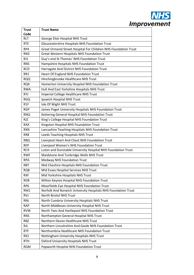

| <b>Trust</b>     | <b>Trust Name</b>                                              |
|------------------|----------------------------------------------------------------|
| Code             |                                                                |
| <b>RLT</b>       | George Eliot Hospital NHS Trust                                |
| <b>RTE</b>       | Gloucestershire Hospitals NHS Foundation Trust                 |
| RP4              | Great Ormond Street Hospital For Children NHS Foundation Trust |
| RN <sub>3</sub>  | <b>Great Western Hospitals NHS Foundation Trust</b>            |
| RJ1              | Guy's and St Thomas' NHS Foundation Trust                      |
| RN <sub>5</sub>  | Hampshire Hospitals NHS Foundation Trust                       |
| <b>RCD</b>       | Harrogate And District NHS Foundation Trust                    |
| RR1              | Heart Of England NHS Foundation Trust                          |
| <b>RQQ</b>       | Hinchingbrooke Healthcare NHS Trust                            |
| <b>RQX</b>       | Homerton University Hospital NHS Foundation Trust              |
| <b>RWA</b>       | Hull And East Yorkshire Hospitals NHS Trust                    |
| <b>RYJ</b>       | <b>Imperial College Healthcare NHS Trust</b>                   |
| <b>RGQ</b>       | Ipswich Hospital NHS Trust                                     |
| R <sub>1</sub> F | Isle Of Wight NHS Trust                                        |
| <b>RGP</b>       | James Paget University Hospitals NHS Foundation Trust          |
| <b>RNQ</b>       | Kettering General Hospital NHS Foundation Trust                |
| <b>RJZ</b>       | King's College Hospital NHS Foundation Trust                   |
| <b>RAX</b>       | Kingston Hospital NHS Foundation Trust                         |
| <b>RXN</b>       | Lancashire Teaching Hospitals NHS Foundation Trust             |
| RR8              | Leeds Teaching Hospitals NHS Trust                             |
| <b>RBQ</b>       | Liverpool Heart And Chest NHS Foundation Trust                 |
| <b>REP</b>       | Liverpool Women's NHS Foundation Trust                         |
| RC <sub>9</sub>  | Luton and Dunstable University Hospital NHS Foundation Trust   |
| <b>RWF</b>       | Maidstone And Tunbridge Wells NHS Trust                        |
| <b>RPA</b>       | <b>Medway NHS Foundation Trust</b>                             |
| <b>RBT</b>       | Mid Cheshire Hospitals NHS Foundation Trust                    |
| RQ8              | Mid Essex Hospital Services NHS Trust                          |
| <b>RXF</b>       | Mid Yorkshire Hospitals NHS Trust                              |
| RD <sub>8</sub>  | Milton Keynes Hospital NHS Foundation Trust                    |
| RP <sub>6</sub>  | Moorfields Eye Hospital NHS Foundation Trust                   |
| RM1              | Norfolk And Norwich University Hospitals NHS Foundation Trust  |
| <b>RVJ</b>       | <b>North Bristol NHS Trust</b>                                 |
| <b>RNL</b>       | North Cumbria University Hospitals NHS Trust                   |
| <b>RAP</b>       | North Middlesex University Hospital NHS Trust                  |
| <b>RVW</b>       | North Tees And Hartlepool NHS Foundation Trust                 |
| <b>RNS</b>       | Northampton General Hospital NHS Trust                         |
| <b>RBZ</b>       | Northern Devon Healthcare NHS Trust                            |
| <b>RJL</b>       | Northern Lincolnshire And Goole NHS Foundation Trust           |
| <b>RTF</b>       | Northumbria Healthcare NHS Foundation Trust                    |
| RX1              | Nottingham University Hospitals NHS Trust                      |
| <b>RTH</b>       | <b>Oxford University Hospitals NHS Trust</b>                   |
| <b>RGM</b>       | Papworth Hospital NHS Foundation Trust                         |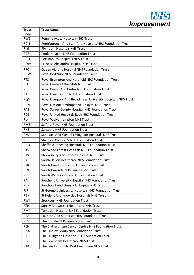

| <b>Trust</b>    | <b>Trust Name</b>                                             |
|-----------------|---------------------------------------------------------------|
| Code            |                                                               |
| RW <sub>6</sub> | Pennine Acute Hospitals NHS Trust                             |
| <b>RGN</b>      | Peterborough And Stamford Hospitals NHS Foundation Trust      |
| RK9             | <b>Plymouth Hospitals NHS Trust</b>                           |
| RD3             | Poole Hospital NHS Foundation Trust                           |
| <b>RHU</b>      | Portsmouth Hospitals NHS Trust                                |
| <b>RQW</b>      | Princess Alexandra Hospital NHS Trust                         |
| <b>RPC</b>      | Queen Victoria Hospital NHS Foundation Trust                  |
| <b>RHW</b>      | Royal Berkshire NHS Foundation Trust                          |
| RT3             | Royal Brompton And Harefield NHS Foundation Trust             |
| <b>REF</b>      | Royal Cornwall Hospitals NHS Trust                            |
| RH <sub>8</sub> | Royal Devon And Exeter NHS Foundation Trust                   |
| <b>RAL</b>      | Royal Free London NHS Foundation Trust                        |
| RQ <sub>6</sub> | Royal Liverpool And Broadgreen University Hospitals NHS Trust |
| <b>RAN</b>      | Royal National Orthopaedic Hospital NHS Trust                 |
| RA <sub>2</sub> | Royal Surrey County Hospital NHS Foundation Trust             |
| RD1             | Royal United Hospitals Bath NHS Foundation Trust              |
| RL4             | Royal Wolverhampton NHS Trust                                 |
| RM3             | Salford Royal NHS Foundation Trust                            |
| <b>RNZ</b>      | <b>Salisbury NHS Foundation Trust</b>                         |
| <b>RXK</b>      | Sandwell And West Birmingham Hospitals NHS Trust              |
| <b>RCU</b>      | Sheffield Children's NHS Foundation Trust                     |
| <b>RHQ</b>      | Sheffield Teaching Hospitals NHS Foundation Trust             |
| RK5             | Sherwood Forest Hospitals NHS Foundation Trust                |
| <b>RXW</b>      | Shrewsbury And Telford Hospital NHS Trust                     |
| RA9             | South Devon Healthcare NHS Foundation Trust                   |
| <b>RTR</b>      | South Tees Hospitals NHS Foundation Trust                     |
| RE9             | South Tyneside NHS Foundation Trust                           |
| <b>RJC</b>      | South Warwickshire NHS Foundation Trust                       |
| RAJ             | Southend University Hospital NHS Foundation Trust             |
| <b>RVY</b>      | Southport And Ormskirk Hospital NHS Trust                     |
| RJ7             | St George's University Hospitals NHS Foundation Trust         |
| <b>RBN</b>      | St Helens And Knowsley Hospitals NHS Trust                    |
| <b>RWJ</b>      | <b>Stockport NHS Foundation Trust</b>                         |
| <b>RTP</b>      | Surrey And Sussex Healthcare NHS Trust                        |
| <b>RMP</b>      | Tameside Hospital NHS Foundation Trust                        |
| <b>RBA</b>      | <b>Taunton And Somerset NHS Foundation Trust</b>              |
| <b>RBV</b>      | The Christie NHS Foundation Trust                             |
| <b>REN</b>      | The Clatterbridge Cancer Centre NHS Foundation Trust          |
| <b>RNA</b>      | The Dudley Group NHS Foundation Trust                         |
| <b>RAS</b>      | The Hillingdon Hospitals NHS Foundation Trust                 |
| RJ <sub>2</sub> | The Lewisham Healthcare NHS Trust                             |
| R1K             | The London North West Healthcare NHS Trust                    |